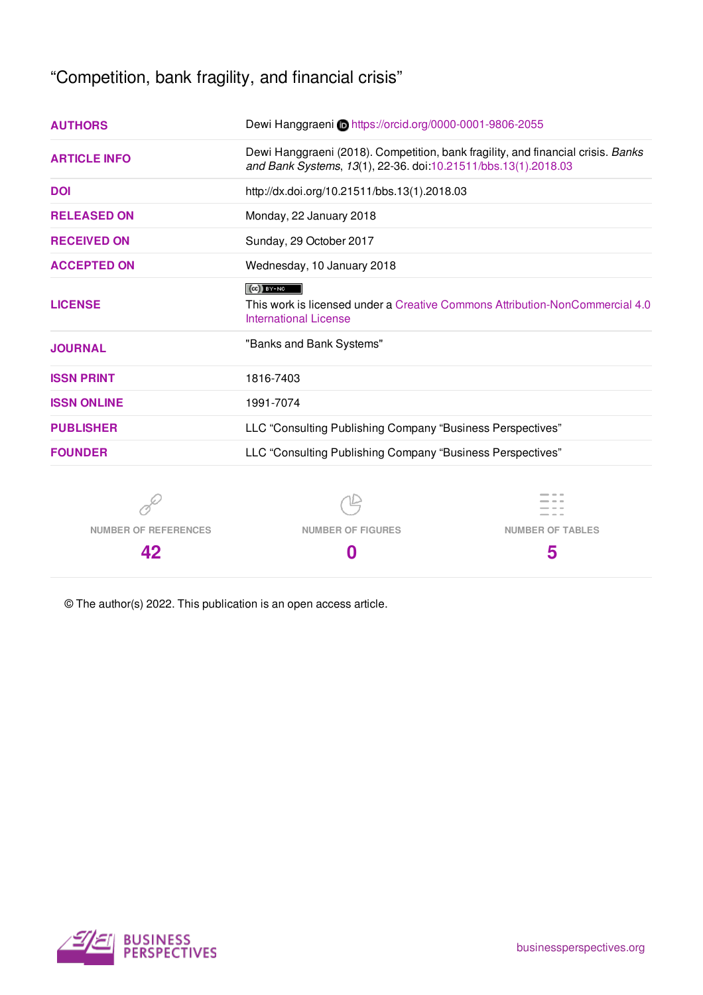"Competition, bank fragility, and financial crisis"

| <b>AUTHORS</b>              | Dewi Hanggraeni Chttps://orcid.org/0000-0001-9806-2055                                                                                             |                         |  |  |  |  |  |
|-----------------------------|----------------------------------------------------------------------------------------------------------------------------------------------------|-------------------------|--|--|--|--|--|
| <b>ARTICLE INFO</b>         | Dewi Hanggraeni (2018). Competition, bank fragility, and financial crisis. Banks<br>and Bank Systems, 13(1), 22-36. doi:10.21511/bbs.13(1).2018.03 |                         |  |  |  |  |  |
| <b>DOI</b>                  | http://dx.doi.org/10.21511/bbs.13(1).2018.03                                                                                                       |                         |  |  |  |  |  |
| <b>RELEASED ON</b>          | Monday, 22 January 2018                                                                                                                            |                         |  |  |  |  |  |
| <b>RECEIVED ON</b>          | Sunday, 29 October 2017                                                                                                                            |                         |  |  |  |  |  |
| <b>ACCEPTED ON</b>          | Wednesday, 10 January 2018                                                                                                                         |                         |  |  |  |  |  |
| <b>LICENSE</b>              | $(cc)$ BY-NC<br>This work is licensed under a Creative Commons Attribution-NonCommercial 4.0<br>International License                              |                         |  |  |  |  |  |
| <b>JOURNAL</b>              | "Banks and Bank Systems"                                                                                                                           |                         |  |  |  |  |  |
| <b>ISSN PRINT</b>           | 1816-7403                                                                                                                                          |                         |  |  |  |  |  |
| <b>ISSN ONLINE</b>          | 1991-7074                                                                                                                                          |                         |  |  |  |  |  |
| <b>PUBLISHER</b>            | LLC "Consulting Publishing Company "Business Perspectives"                                                                                         |                         |  |  |  |  |  |
| <b>FOUNDER</b>              | LLC "Consulting Publishing Company "Business Perspectives"                                                                                         |                         |  |  |  |  |  |
|                             |                                                                                                                                                    |                         |  |  |  |  |  |
| <b>NUMBER OF REFERENCES</b> | <b>NUMBER OF FIGURES</b>                                                                                                                           | <b>NUMBER OF TABLES</b> |  |  |  |  |  |
| 42                          | 0                                                                                                                                                  | 5                       |  |  |  |  |  |

© The author(s) 2022. This publication is an open access article.

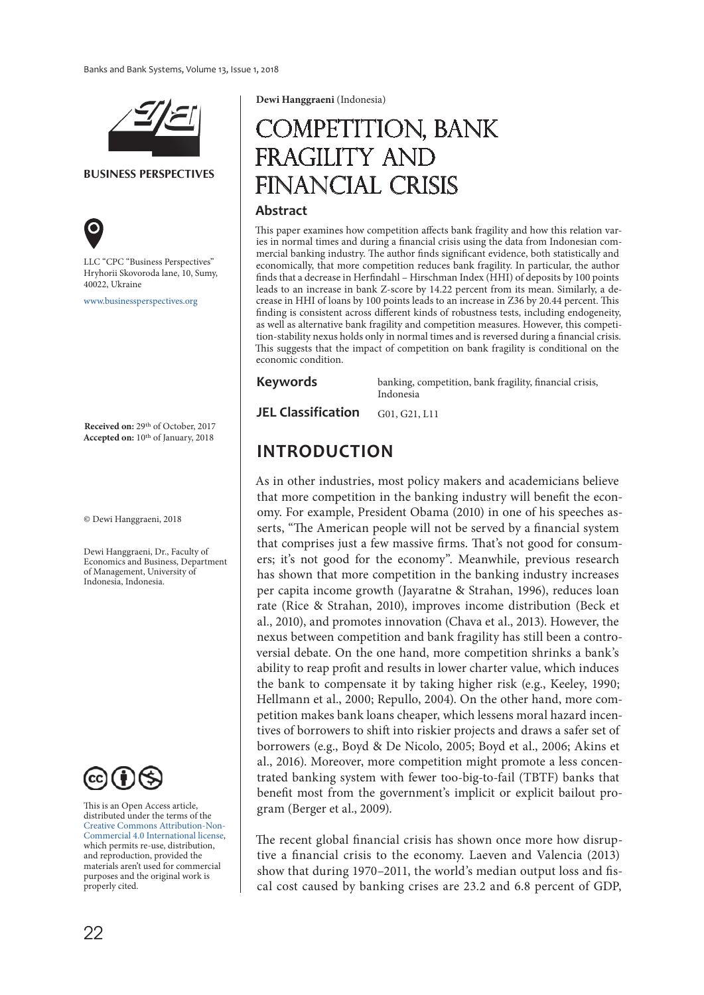

**BUSINESS PERSPECTIVES**



LLC "СPС "Business Perspectives" Hryhorii Skovoroda lane, 10, Sumy, 40022, Ukraine

www.businessperspectives.org

**Received on:** 29th of October, 2017 **Accepted on:** 10th of January, 2018

© Dewi Hanggraeni, 2018

Dewi Hanggraeni, Dr., Faculty of Economics and Business, Department of Management, University of Indonesia, Indonesia.



This is an Open Access article, distributed under the terms of the Creative Commons Attribution-Non-Commercial 4.0 International license, which permits re-use, distribution, and reproduction, provided the materials aren't used for commercial purposes and the original work is properly cited.

**Dewi Hanggraeni** (Indonesia)

# COMPETITION, BANK fragility and financial crisis

#### **Abstract**

This paper examines how competition affects bank fragility and how this relation varies in normal times and during a financial crisis using the data from Indonesian commercial banking industry. The author finds significant evidence, both statistically and economically, that more competition reduces bank fragility. In particular, the author finds that a decrease in Herfindahl – Hirschman Index (HHI) of deposits by 100 points leads to an increase in bank Z-score by 14.22 percent from its mean. Similarly, a decrease in HHI of loans by 100 points leads to an increase in Z36 by 20.44 percent. This finding is consistent across different kinds of robustness tests, including endogeneity, as well as alternative bank fragility and competition measures. However, this competition-stability nexus holds only in normal times and is reversed during a financial crisis. This suggests that the impact of competition on bank fragility is conditional on the economic condition.

#### **Keywords**

banking, competition, bank fragility, financial crisis, Indonesia

**JEL Classification G01, G21, L11** 

## **INTRODUCTION**

As in other industries, most policy makers and academicians believe that more competition in the banking industry will benefit the economy. For example, President Obama (2010) in one of his speeches asserts, "The American people will not be served by a financial system that comprises just a few massive firms. That's not good for consumers; it's not good for the economy". Meanwhile, previous research has shown that more competition in the banking industry increases per capita income growth (Jayaratne & Strahan, 1996), reduces loan rate (Rice & Strahan, 2010), improves income distribution (Beck et al., 2010), and promotes innovation (Chava et al., 2013). However, the nexus between competition and bank fragility has still been a controversial debate. On the one hand, more competition shrinks a bank's ability to reap profit and results in lower charter value, which induces the bank to compensate it by taking higher risk (e.g., Keeley, 1990; Hellmann et al., 2000; Repullo, 2004). On the other hand, more competition makes bank loans cheaper, which lessens moral hazard incentives of borrowers to shift into riskier projects and draws a safer set of borrowers (e.g., Boyd & De Nicolo, 2005; Boyd et al., 2006; Akins et al., 2016). Moreover, more competition might promote a less concentrated banking system with fewer too-big-to-fail (TBTF) banks that benefit most from the government's implicit or explicit bailout program (Berger et al., 2009).

The recent global financial crisis has shown once more how disruptive a financial crisis to the economy. Laeven and Valencia (2013) show that during 1970–2011, the world's median output loss and fiscal cost caused by banking crises are 23.2 and 6.8 percent of GDP,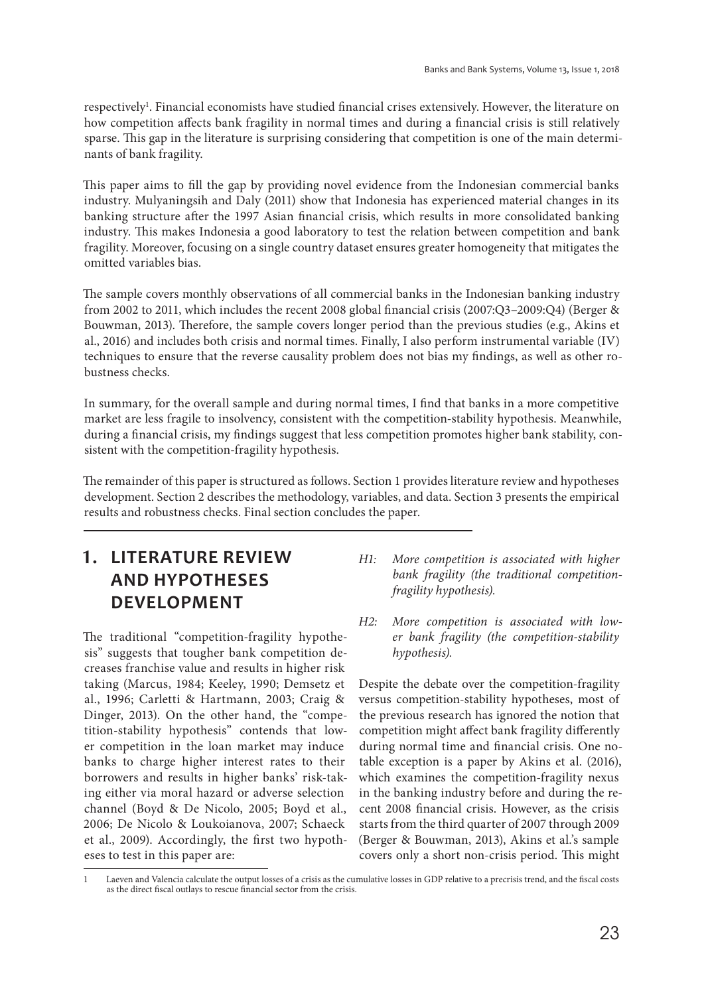respectively<sup>1</sup>. Financial economists have studied financial crises extensively. However, the literature on how competition affects bank fragility in normal times and during a financial crisis is still relatively sparse. This gap in the literature is surprising considering that competition is one of the main determinants of bank fragility.

This paper aims to fill the gap by providing novel evidence from the Indonesian commercial banks industry. Mulyaningsih and Daly (2011) show that Indonesia has experienced material changes in its banking structure after the 1997 Asian financial crisis, which results in more consolidated banking industry. This makes Indonesia a good laboratory to test the relation between competition and bank fragility. Moreover, focusing on a single country dataset ensures greater homogeneity that mitigates the omitted variables bias.

The sample covers monthly observations of all commercial banks in the Indonesian banking industry from 2002 to 2011, which includes the recent 2008 global financial crisis (2007:Q3–2009:Q4) (Berger & Bouwman, 2013). Therefore, the sample covers longer period than the previous studies (e.g., Akins et al., 2016) and includes both crisis and normal times. Finally, I also perform instrumental variable (IV) techniques to ensure that the reverse causality problem does not bias my findings, as well as other robustness checks.

In summary, for the overall sample and during normal times, I find that banks in a more competitive market are less fragile to insolvency, consistent with the competition-stability hypothesis. Meanwhile, during a financial crisis, my findings suggest that less competition promotes higher bank stability, consistent with the competition-fragility hypothesis.

The remainder of this paper is structured as follows. Section 1 provides literature review and hypotheses development. Section 2 describes the methodology, variables, and data. Section 3 presents the empirical results and robustness checks. Final section concludes the paper.

## **1. AND HYPOTHESES DEVELOPMENT**

The traditional "competition-fragility hypothesis" suggests that tougher bank competition decreases franchise value and results in higher risk taking (Marcus, 1984; Keeley, 1990; Demsetz et al., 1996; Carletti & Hartmann, 2003; Craig & Dinger, 2013). On the other hand, the "competition-stability hypothesis" contends that lower competition in the loan market may induce banks to charge higher interest rates to their borrowers and results in higher banks' risk-taking either via moral hazard or adverse selection channel (Boyd & De Nicolo, 2005; Boyd et al., 2006; De Nicolo & Loukoianova, 2007; Schaeck et al., 2009). Accordingly, the first two hypotheses to test in this paper are:

- H1: More competition is associated with higher bank fragility (the traditional competitionfragility hypothesis).
- H2: More competition is associated with lower bank fragility (the competition-stability hypothesis).

Despite the debate over the competition-fragility versus competition-stability hypotheses, most of the previous research has ignored the notion that competition might affect bank fragility differently during normal time and financial crisis. One notable exception is a paper by Akins et al. (2016), which examines the competition-fragility nexus in the banking industry before and during the recent 2008 financial crisis. However, as the crisis starts from the third quarter of 2007 through 2009 (Berger & Bouwman, 2013), Akins et al.'s sample covers only a short non-crisis period. This might

Laeven and Valencia calculate the output losses of a crisis as the cumulative losses in GDP relative to a precrisis trend, and the fiscal costs as the direct fiscal outlays to rescue financial sector from the crisis.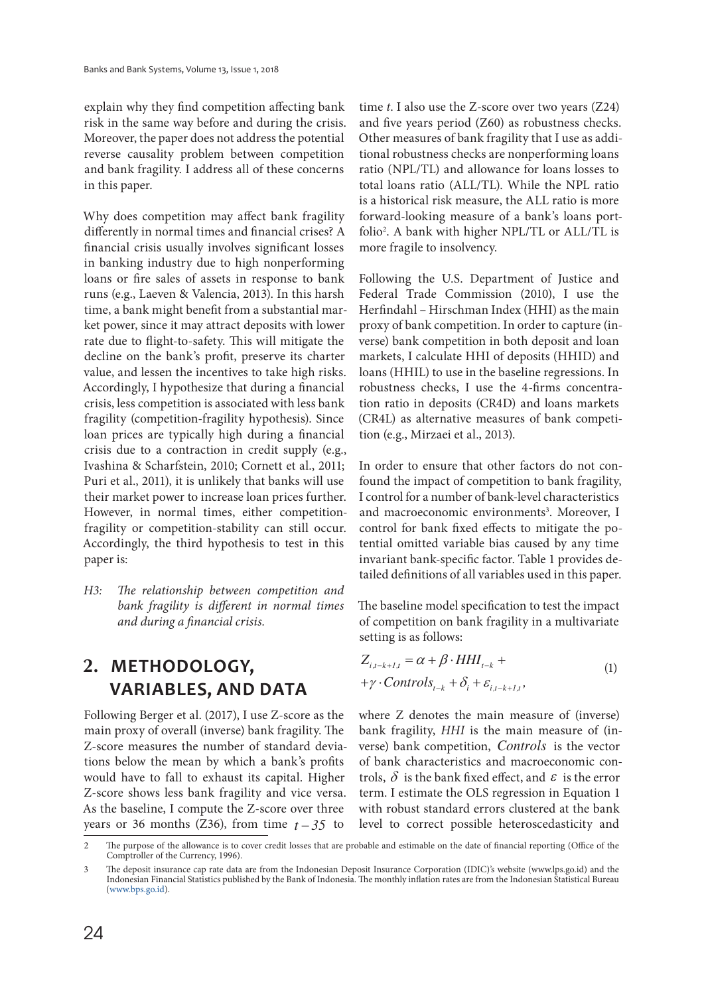explain why they find competition affecting bank risk in the same way before and during the crisis. Moreover, the paper does not address the potential reverse causality problem between competition and bank fragility. I address all of these concerns in this paper.

Why does competition may affect bank fragility differently in normal times and financial crises? A financial crisis usually involves significant losses in banking industry due to high nonperforming loans or fire sales of assets in response to bank runs (e.g., Laeven & Valencia, 2013). In this harsh time, a bank might benefit from a substantial market power, since it may attract deposits with lower rate due to flight-to-safety. This will mitigate the decline on the bank's profit, preserve its charter value, and lessen the incentives to take high risks. Accordingly, I hypothesize that during a financial crisis, less competition is associated with less bank fragility (competition-fragility hypothesis). Since loan prices are typically high during a financial crisis due to a contraction in credit supply (e.g., Ivashina & Scharfstein, 2010; Cornett et al., 2011; Puri et al., 2011), it is unlikely that banks will use their market power to increase loan prices further. However, in normal times, either competitionfragility or competition-stability can still occur. Accordingly, the third hypothesis to test in this paper is:

H3: The relationship between competition and bank fragility is different in normal times and during a financial crisis.

## 2. METHODOLOGY, **VARIABLES, AND DATA**

Following Berger et al. (2017), I use Z-score as the main proxy of overall (inverse) bank fragility. The Z-score measures the number of standard deviations below the mean by which a bank's profits would have to fall to exhaust its capital. Higher Z-score shows less bank fragility and vice versa. As the baseline, I compute the Z-score over three years or 36 months (Z36), from time  $t - 35$  to

time  $t$ . I also use the Z-score over two years  $(Z24)$ and five years period (Z60) as robustness checks. Other measures of bank fragility that I use as additional robustness checks are nonperforming loans ratio (NPL/TL) and allowance for loans losses to total loans ratio (ALL/TL). While the NPL ratio is a historical risk measure, the ALL ratio is more forward-looking measure of a bank's loans portfolio<sup>2</sup> . A bank with higher NPL/TL or ALL/TL is more fragile to insolvency.

Following the U.S. Department of Justice and Federal Trade Commission (2010), I use the Herfindahl – Hirschman Index (HHI) as the main proxy of bank competition. In order to capture (inverse) bank competition in both deposit and loan markets, I calculate HHI of deposits (HHID) and loans (HHIL) to use in the baseline regressions. In robustness checks, I use the 4-firms concentration ratio in deposits (CR4D) and loans markets (CR4L) as alternative measures of bank competition (e.g., Mirzaei et al., 2013).

In order to ensure that other factors do not confound the impact of competition to bank fragility, I control for a number of bank-level characteristics and macroeconomic environments<sup>3</sup>. Moreover, I control for bank fixed effects to mitigate the potential omitted variable bias caused by any time invariant bank-specific factor. Table 1 provides detailed definitions of all variables used in this paper.

The baseline model specification to test the impact of competition on bank fragility in a multivariate setting is as follows:

$$
Z_{i,t-k+1,t} = \alpha + \beta \cdot HHI_{t-k} ++ \gamma \cdot ControIs_{t-k} + \delta_i + \varepsilon_{i,t-k+1,t},
$$
 (1)

where Z denotes the main measure of (inverse) bank fragility, HHI is the main measure of (inverse) bank competition, *Controls* is the vector of bank characteristics and macroeconomic controls,  $\delta$  is the bank fixed effect, and  $\epsilon$  is the error term. I estimate the OLS regression in Equation 1 with robust standard errors clustered at the bank level to correct possible heteroscedasticity and

<sup>2</sup> The purpose of the allowance is to cover credit losses that are probable and estimable on the date of financial reporting (Office of the Comptroller of the Currency, 1996).

<sup>3</sup> The deposit insurance cap rate data are from the Indonesian Deposit Insurance Corporation (IDIC)'s website (www.lps.go.id) and the Indonesian Financial Statistics published by the Bank of Indonesia. The monthly inflation rates are from the Indonesian Statistical Bureau (www.bps.go.id).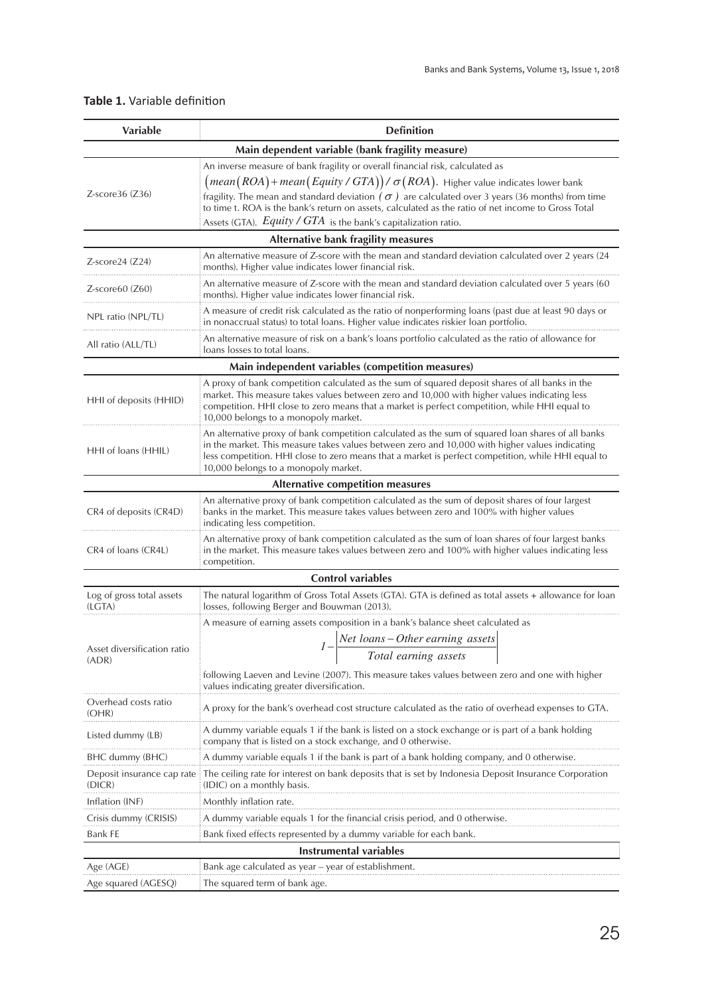|  | Table 1. Variable definition |
|--|------------------------------|
|--|------------------------------|

| Variable                             | <b>Definition</b>                                                                                                                                                                                                                                                                                                                                  |  |  |  |  |  |  |
|--------------------------------------|----------------------------------------------------------------------------------------------------------------------------------------------------------------------------------------------------------------------------------------------------------------------------------------------------------------------------------------------------|--|--|--|--|--|--|
|                                      | Main dependent variable (bank fragility measure)                                                                                                                                                                                                                                                                                                   |  |  |  |  |  |  |
|                                      | An inverse measure of bank fragility or overall financial risk, calculated as                                                                                                                                                                                                                                                                      |  |  |  |  |  |  |
|                                      | $(\textit{mean}(ROA) + \textit{mean}(Equity/GTA))/\sigma(ROA)$ . Higher value indicates lower bank                                                                                                                                                                                                                                                 |  |  |  |  |  |  |
| Z-score36 (Z36)                      | fragility. The mean and standard deviation $(\sigma)$ are calculated over 3 years (36 months) from time<br>to time t. ROA is the bank's return on assets, calculated as the ratio of net income to Gross Total                                                                                                                                     |  |  |  |  |  |  |
|                                      | Assets (GTA). $Equity / GTA$ is the bank's capitalization ratio.                                                                                                                                                                                                                                                                                   |  |  |  |  |  |  |
|                                      | Alternative bank fragility measures                                                                                                                                                                                                                                                                                                                |  |  |  |  |  |  |
| $Z$ -score24 $(Z24)$                 | 42 An alternative measure of Z-score with the mean and standard deviation calculated over 2 years<br>months). Higher value indicates lower financial risk.                                                                                                                                                                                         |  |  |  |  |  |  |
| $Z$ -score $60(Z60)$                 | An alternative measure of Z-score with the mean and standard deviation calculated over 5 years (60<br>months). Higher value indicates lower financial risk.                                                                                                                                                                                        |  |  |  |  |  |  |
| NPL ratio (NPL/TL)                   | A measure of credit risk calculated as the ratio of nonperforming loans (past due at least 90 days or<br>in nonaccrual status) to total loans. Higher value indicates riskier loan portfolio.                                                                                                                                                      |  |  |  |  |  |  |
| All ratio (ALL/TL)                   | An alternative measure of risk on a bank's loans portfolio calculated as the ratio of allowance for<br>loans losses to total loans.                                                                                                                                                                                                                |  |  |  |  |  |  |
|                                      | Main independent variables (competition measures)                                                                                                                                                                                                                                                                                                  |  |  |  |  |  |  |
| HHI of deposits (HHID)               | A proxy of bank competition calculated as the sum of squared deposit shares of all banks in the<br>market. This measure takes values between zero and 10,000 with higher values indicating less<br>competition. HHI close to zero means that a market is perfect competition, while HHI equal to<br>10,000 belongs to a monopoly market.           |  |  |  |  |  |  |
| HHI of loans (HHIL)                  | An alternative proxy of bank competition calculated as the sum of squared loan shares of all banks<br>in the market. This measure takes values between zero and 10,000 with higher values indicating<br>less competition. HHI close to zero means that a market is perfect competition, while HHI equal to<br>10,000 belongs to a monopoly market. |  |  |  |  |  |  |
|                                      | <b>Alternative competition measures</b>                                                                                                                                                                                                                                                                                                            |  |  |  |  |  |  |
| CR4 of deposits (CR4D)               | An alternative proxy of bank competition calculated as the sum of deposit shares of four largest<br>banks in the market. This measure takes values between zero and 100% with higher values<br>indicating less competition.                                                                                                                        |  |  |  |  |  |  |
| CR4 of loans (CR4L)                  | An alternative proxy of bank competition calculated as the sum of loan shares of four largest banks<br>in the market. This measure takes values between zero and 100% with higher values indicating less<br>competition.                                                                                                                           |  |  |  |  |  |  |
|                                      | <b>Control variables</b>                                                                                                                                                                                                                                                                                                                           |  |  |  |  |  |  |
| Log of gross total assets<br>(LGTA)  | The natural logarithm of Gross Total Assets (GTA). GTA is defined as total assets + allowance for loan<br>losses, following Berger and Bouwman (2013).                                                                                                                                                                                             |  |  |  |  |  |  |
|                                      | A measure of earning assets composition in a bank's balance sheet calculated as                                                                                                                                                                                                                                                                    |  |  |  |  |  |  |
|                                      | Net loans-Other earning assets                                                                                                                                                                                                                                                                                                                     |  |  |  |  |  |  |
| Asset diversification ratio<br>(ADR) | Total earning assets                                                                                                                                                                                                                                                                                                                               |  |  |  |  |  |  |
|                                      | following Laeven and Levine (2007). This measure takes values between zero and one with higher<br>values indicating greater diversification.                                                                                                                                                                                                       |  |  |  |  |  |  |
| Overhead costs ratio<br>(OHR)        | A proxy for the bank's overhead cost structure calculated as the ratio of overhead expenses to GTA.                                                                                                                                                                                                                                                |  |  |  |  |  |  |
| Listed dummy (LB)                    | A dummy variable equals 1 if the bank is listed on a stock exchange or is part of a bank holding<br>company that is listed on a stock exchange, and 0 otherwise.                                                                                                                                                                                   |  |  |  |  |  |  |
| BHC dummy (BHC)                      | A dummy variable equals 1 if the bank is part of a bank holding company, and 0 otherwise.                                                                                                                                                                                                                                                          |  |  |  |  |  |  |
| Deposit insurance cap rate<br>(DICR) | The ceiling rate for interest on bank deposits that is set by Indonesia Deposit Insurance Corporation<br>(IDIC) on a monthly basis.                                                                                                                                                                                                                |  |  |  |  |  |  |
| Inflation (INF)                      | Monthly inflation rate.                                                                                                                                                                                                                                                                                                                            |  |  |  |  |  |  |
| Crisis dummy (CRISIS)                | A dummy variable equals 1 for the financial crisis period, and 0 otherwise.                                                                                                                                                                                                                                                                        |  |  |  |  |  |  |
| Bank FE                              | Bank fixed effects represented by a dummy variable for each bank.                                                                                                                                                                                                                                                                                  |  |  |  |  |  |  |
|                                      | <b>Instrumental variables</b>                                                                                                                                                                                                                                                                                                                      |  |  |  |  |  |  |
| Age (AGE)                            | Bank age calculated as year - year of establishment.                                                                                                                                                                                                                                                                                               |  |  |  |  |  |  |
| Age squared (AGESQ)                  | The squared term of bank age.                                                                                                                                                                                                                                                                                                                      |  |  |  |  |  |  |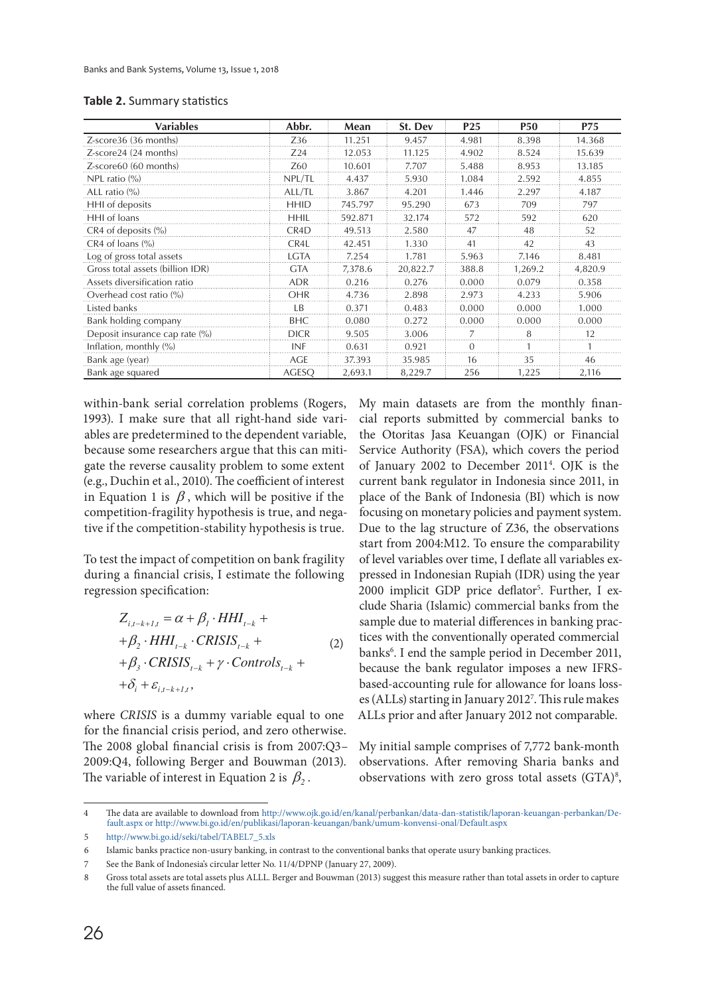| Variables                         | Abbr.             | Mean    | St. Dev  | P <sub>25</sub> | <b>P50</b> | <b>P75</b> |
|-----------------------------------|-------------------|---------|----------|-----------------|------------|------------|
| Z-score36 (36 months)             | Z36               | 11.251  | 9.457    | 4.981           | 8.398      | 14.368     |
| Z-score24 (24 months)             | Z24               | 12.053  | 11.125   | 4.902           | 8.524      | 15.639     |
| Z-score60 (60 months)             | 760               | 10.601  | 7.707    | 5.488           | 8.953      | 13.185     |
| NPL ratio $(\% )$                 | NPL/TL            | 4.437   | 5.930    | 1.084           | 2.592      | 4.855      |
| ALL ratio $(\% )$                 | ALL/TL            | 3.867   | 4.201    | 1.446           | 2.297      | 4.187      |
| HHI of deposits                   | <b>HHID</b>       | 745.797 | 95.290   | 673             | 709        | 797        |
| HHI of loans                      | <b>HHIL</b>       | 592.871 | 32.174   | 572             | 592        | 620        |
| CR4 of deposits (%)               | CR <sub>4</sub> D | 49.513  | 2.580    | 47              | 48         | 52         |
| $CR4$ of loans $(\%$              | CR4L              | 42.451  | 1.330    | 41              | 42         | 43         |
| Log of gross total assets         | <b>LGTA</b>       | 7.254   | 1.781    | 5.963           | 7.146      | 8.481      |
| Gross total assets (billion IDR)  | <b>GTA</b>        | 7,378.6 | 20,822.7 | 388.8           | 1,269.2    | 4,820.9    |
| Assets diversification ratio      | <b>ADR</b>        | 0.216   | 0.276    | 0.000           | 0.079      | 0.358      |
| Overhead cost ratio $\frac{9}{6}$ | OHR               | 4.736   | 2.898    | 2.973           | 4.233      | 5.906      |
| Listed banks                      | 1 <sup>B</sup>    | 0.371   | 0.483    | 0.000           | 0.000      | 1.000      |
| Bank holding company              | <b>BHC</b>        | 0.080   | 0.272    | 0.000           | 0.000      | 0.000      |
| Deposit insurance cap rate (%)    | <b>DICR</b>       | 9.505   | 3.006    | 7               | 8          | 12         |
| Inflation, monthly (%)            | INF               | 0.631   | 0.921    | 0               |            |            |
| Bank age (year)                   | <b>AGE</b>        | 37.393  | 35.985   | 16              | 35         | 46         |
| Bank age squared                  | <b>AGESO</b>      | 2.693.1 | 8,229.7  | 256             | 1,225      | 2,116      |

|  | Table 2. Summary statistics |  |
|--|-----------------------------|--|
|--|-----------------------------|--|

within-bank serial correlation problems (Rogers, 1993). I make sure that all right-hand side variables are predetermined to the dependent variable, because some researchers argue that this can mitigate the reverse causality problem to some extent (e.g., Duchin et al., 2010). The coefficient of interest in Equation 1 is  $\beta$ , which will be positive if the competition-fragility hypothesis is true, and negative if the competition-stability hypothesis is true.

To test the impact of competition on bank fragility during a financial crisis, I estimate the following regression specification:

$$
Z_{i,t-k+1,t} = \alpha + \beta_1 \cdot HHI_{t-k} ++ \beta_2 \cdot HHI_{t-k} \cdot CRISIS_{t-k} ++ \beta_3 \cdot CRISIS_{t-k} + \gamma \cdot ControIs_{t-k} ++ \delta_i + \varepsilon_{i,t-k+1,t},
$$
 (2)

where CRISIS is a dummy variable equal to one for the financial crisis period, and zero otherwise. The 2008 global financial crisis is from 2007:Q3– 2009:Q4, following Berger and Bouwman (2013). The variable of interest in Equation 2 is  $\beta_2$ .

My main datasets are from the monthly financial reports submitted by commercial banks to the Otoritas Jasa Keuangan (OJK) or Financial Service Authority (FSA), which covers the period of January 2002 to December 2011<sup>4</sup> . OJK is the current bank regulator in Indonesia since 2011, in place of the Bank of Indonesia (BI) which is now focusing on monetary policies and payment system. Due to the lag structure of Z36, the observations start from 2004:M12. To ensure the comparability of level variables over time, I deflate all variables expressed in Indonesian Rupiah (IDR) using the year 2000 implicit GDP price deflator<sup>5</sup>. Further, I exclude Sharia (Islamic) commercial banks from the sample due to material differences in banking practices with the conventionally operated commercial banks<sup>6</sup>. I end the sample period in December 2011, because the bank regulator imposes a new IFRSbased-accounting rule for allowance for loans losses (ALLs) starting in January 2012<sup>7</sup> . This rule makes ALLs prior and after January 2012 not comparable.

My initial sample comprises of 7,772 bank-month observations. After removing Sharia banks and observations with zero gross total assets  $(GTA)^8$ ,

<sup>4</sup> The data are available to download from http://www.ojk.go.id/en/kanal/perbankan/data-dan-statistik/laporan-keuangan-perbankan/Default.aspx or http://www.bi.go.id/en/publikasi/laporan-keuangan/bank/umum-konvensi-onal/Default.aspx

<sup>5</sup> http://www.bi.go.id/seki/tabel/TABEL7\_5.xls

<sup>6</sup> Islamic banks practice non-usury banking, in contrast to the conventional banks that operate usury banking practices.

<sup>7</sup> See the Bank of Indonesia's circular letter No. 11/4/DPNP (January 27, 2009).

<sup>8</sup> Gross total assets are total assets plus ALLL. Berger and Bouwman (2013) suggest this measure rather than total assets in order to capture the full value of assets financed.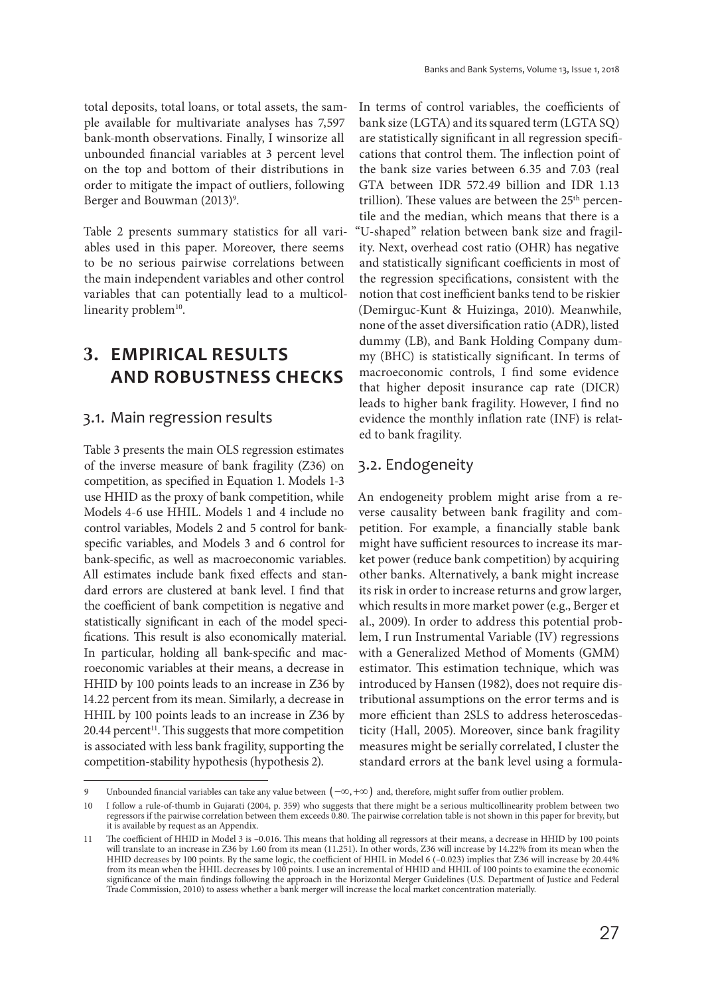total deposits, total loans, or total assets, the sample available for multivariate analyses has 7,597 bank-month observations. Finally, I winsorize all unbounded financial variables at 3 percent level on the top and bottom of their distributions in order to mitigate the impact of outliers, following Berger and Bouwman (2013)<sup>9</sup>.

Table 2 presents summary statistics for all variables used in this paper. Moreover, there seems to be no serious pairwise correlations between the main independent variables and other control variables that can potentially lead to a multicollinearity problem<sup>10</sup>.

## **3. AND ROBUSTNESS CHECKS**

### 3.1. Main regression results

Table 3 presents the main OLS regression estimates of the inverse measure of bank fragility (Z36) on competition, as specified in Equation 1. Models 1-3 use HHID as the proxy of bank competition, while Models 4-6 use HHIL. Models 1 and 4 include no control variables, Models 2 and 5 control for bankspecific variables, and Models 3 and 6 control for bank-specific, as well as macroeconomic variables. All estimates include bank fixed effects and standard errors are clustered at bank level. I find that the coefficient of bank competition is negative and statistically significant in each of the model specifications. This result is also economically material. In particular, holding all bank-specific and macroeconomic variables at their means, a decrease in HHID by 100 points leads to an increase in Z36 by 14.22 percent from its mean. Similarly, a decrease in HHIL by 100 points leads to an increase in Z36 by  $20.44$  percent<sup>11</sup>. This suggests that more competition is associated with less bank fragility, supporting the competition-stability hypothesis (hypothesis 2).

In terms of control variables, the coefficients of bank size (LGTA) and its squared term (LGTA SQ) are statistically significant in all regression specifications that control them. The inflection point of the bank size varies between 6.35 and 7.03 (real GTA between IDR 572.49 billion and IDR 1.13 trillion). These values are between the 25<sup>th</sup> percentile and the median, which means that there is a "U-shaped" relation between bank size and fragility. Next, overhead cost ratio (OHR) has negative and statistically significant coefficients in most of the regression specifications, consistent with the notion that cost inefficient banks tend to be riskier (Demirguc-Kunt & Huizinga, 2010). Meanwhile, none of the asset diversification ratio (ADR), listed dummy (LB), and Bank Holding Company dummy (BHC) is statistically significant. In terms of macroeconomic controls, I find some evidence that higher deposit insurance cap rate (DICR) leads to higher bank fragility. However, I find no evidence the monthly inflation rate (INF) is related to bank fragility.

## 3.2. Endogeneity

An endogeneity problem might arise from a reverse causality between bank fragility and competition. For example, a financially stable bank might have sufficient resources to increase its market power (reduce bank competition) by acquiring other banks. Alternatively, a bank might increase its risk in order to increase returns and grow larger, which results in more market power (e.g., Berger et al., 2009). In order to address this potential problem, I run Instrumental Variable (IV) regressions with a Generalized Method of Moments (GMM) estimator. This estimation technique, which was introduced by Hansen (1982), does not require distributional assumptions on the error terms and is more efficient than 2SLS to address heteroscedasticity (Hall, 2005). Moreover, since bank fragility measures might be serially correlated, I cluster the standard errors at the bank level using a formula-

Unbounded financial variables can take any value between  $(-\infty, +\infty)$  and, therefore, might suffer from outlier problem.

<sup>10</sup> I follow a rule-of-thumb in Gujarati (2004, p. 359) who suggests that there might be a serious multicollinearity problem between two regressors if the pairwise correlation between them exceeds 0.80. The pairwise correlation table is not shown in this paper for brevity, but it is available by request as an Appendix.

<sup>11</sup> The coefficient of HHID in Model 3 is –0.016. This means that holding all regressors at their means, a decrease in HHID by 100 points will translate to an increase in Z36 by 1.60 from its mean (11.251). In other words, Z36 will increase by 14.22% from its mean when the HHID decreases by 100 points. By the same logic, the coefficient of HHIL in Model 6 (–0.023) implies that Z36 will increase by 20.44% from its mean when the HHIL decreases by 100 points. I use an incremental of HHID and HHIL of 100 points to examine the economic significance of the main findings following the approach in the Horizontal Merger Guidelines (U.S. Department of Justice and Federal Trade Commission, 2010) to assess whether a bank merger will increase the local market concentration materially.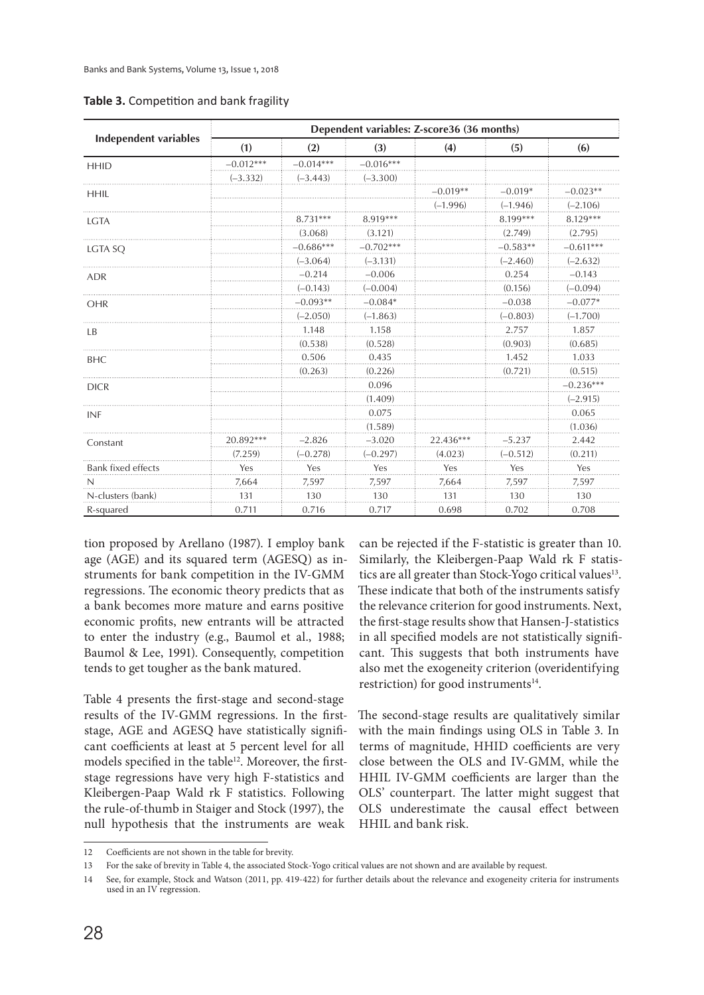|                              | Dependent variables: Z-score36 (36 months) |             |             |            |            |             |  |  |  |
|------------------------------|--------------------------------------------|-------------|-------------|------------|------------|-------------|--|--|--|
| <b>Independent variables</b> | (1)                                        | (2)         | (3)         | (4)        | (5)        | (6)         |  |  |  |
| <b>HHID</b>                  | $-0.012***$                                | $-0.014***$ | $-0.016***$ |            |            |             |  |  |  |
|                              | $(-3.332)$                                 | $(-3.443)$  | $(-3.300)$  |            |            |             |  |  |  |
| <b>HHIL</b>                  |                                            |             |             | $-0.019**$ | $-0.019*$  | $-0.023**$  |  |  |  |
|                              |                                            |             |             | $(-1.996)$ | $(-1.946)$ | $(-2.106)$  |  |  |  |
| <b>LGTA</b>                  |                                            | $8.731***$  | 8.919***    |            | 8.199***   | $8.129***$  |  |  |  |
|                              |                                            | (3.068)     | (3.121)     |            | (2.749)    | (2.795)     |  |  |  |
| LGTA SQ                      |                                            | $-0.686***$ | $-0.702***$ |            | $-0.583**$ | $-0.611***$ |  |  |  |
|                              |                                            | $(-3.064)$  | $(-3.131)$  |            | $(-2.460)$ | $(-2.632)$  |  |  |  |
| <b>ADR</b>                   |                                            | $-0.214$    | $-0.006$    |            | 0.254      | $-0.143$    |  |  |  |
|                              |                                            | $(-0.143)$  | $(-0.004)$  |            | (0.156)    | $(-0.094)$  |  |  |  |
| OHR                          |                                            | $-0.093**$  | $-0.084*$   |            | $-0.038$   | $-0.077*$   |  |  |  |
|                              |                                            | $(-2.050)$  | $(-1.863)$  |            | $(-0.803)$ | $(-1.700)$  |  |  |  |
| LB                           |                                            | 1.148       | 1.158       |            | 2.757      | 1.857       |  |  |  |
|                              |                                            | (0.538)     | (0.528)     |            | (0.903)    | (0.685)     |  |  |  |
| BHC                          |                                            | 0.506       | 0.435       |            | 1.452      | 1.033       |  |  |  |
|                              |                                            | (0.263)     | (0.226)     |            | (0.721)    | (0.515)     |  |  |  |
| <b>DICR</b>                  |                                            |             | 0.096       |            |            | $-0.236***$ |  |  |  |
|                              |                                            |             | (1.409)     |            |            | $(-2.915)$  |  |  |  |
| <b>INF</b>                   |                                            |             | 0.075       |            |            | 0.065       |  |  |  |
|                              |                                            |             | (1.589)     |            |            | (1.036)     |  |  |  |
| Constant                     | 20.892***                                  | $-2.826$    | $-3.020$    | 22.436***  | $-5.237$   | 2.442       |  |  |  |
|                              | (7.259)                                    | $(-0.278)$  | $(-0.297)$  | (4.023)    | $(-0.512)$ | (0.211)     |  |  |  |
| Bank fixed effects           | Yes                                        | Yes         | Yes         | Yes        | Yes        | Yes         |  |  |  |
| N                            | 7,664                                      | 7,597       | 7,597       | 7,664      | 7,597      | 7,597       |  |  |  |
| N-clusters (bank)            | 131                                        | 130         | 130         | 131        | 130        | 130         |  |  |  |
| R-squared                    | 0.711                                      | 0.716       | 0.717       | 0.698      | 0.702      | 0.708       |  |  |  |

**Table 3.** Competition and bank fragility

tion proposed by Arellano (1987). I employ bank age (AGE) and its squared term (AGESQ) as instruments for bank competition in the IV-GMM regressions. The economic theory predicts that as a bank becomes more mature and earns positive economic profits, new entrants will be attracted to enter the industry (e.g., Baumol et al., 1988; Baumol & Lee, 1991). Consequently, competition tends to get tougher as the bank matured.

Table 4 presents the first-stage and second-stage results of the IV-GMM regressions. In the firststage, AGE and AGESQ have statistically significant coefficients at least at 5 percent level for all models specified in the table<sup>12</sup>. Moreover, the firststage regressions have very high F-statistics and Kleibergen-Paap Wald rk F statistics. Following the rule-of-thumb in Staiger and Stock (1997), the null hypothesis that the instruments are weak

can be rejected if the F-statistic is greater than 10. Similarly, the Kleibergen-Paap Wald rk F statistics are all greater than Stock-Yogo critical values<sup>13</sup>. These indicate that both of the instruments satisfy the relevance criterion for good instruments. Next, the first-stage results show that Hansen-J-statistics in all specified models are not statistically significant. This suggests that both instruments have also met the exogeneity criterion (overidentifying restriction) for good instruments<sup>14</sup>.

The second-stage results are qualitatively similar with the main findings using OLS in Table 3. In terms of magnitude, HHID coefficients are very close between the OLS and IV-GMM, while the HHIL IV-GMM coefficients are larger than the OLS' counterpart. The latter might suggest that OLS underestimate the causal effect between HHIL and bank risk.

<sup>12</sup> Coefficients are not shown in the table for brevity.

<sup>13</sup> For the sake of brevity in Table 4, the associated Stock-Yogo critical values are not shown and are available by request.

<sup>14</sup> See, for example, Stock and Watson (2011, pp. 419-422) for further details about the relevance and exogeneity criteria for instruments used in an IV regression.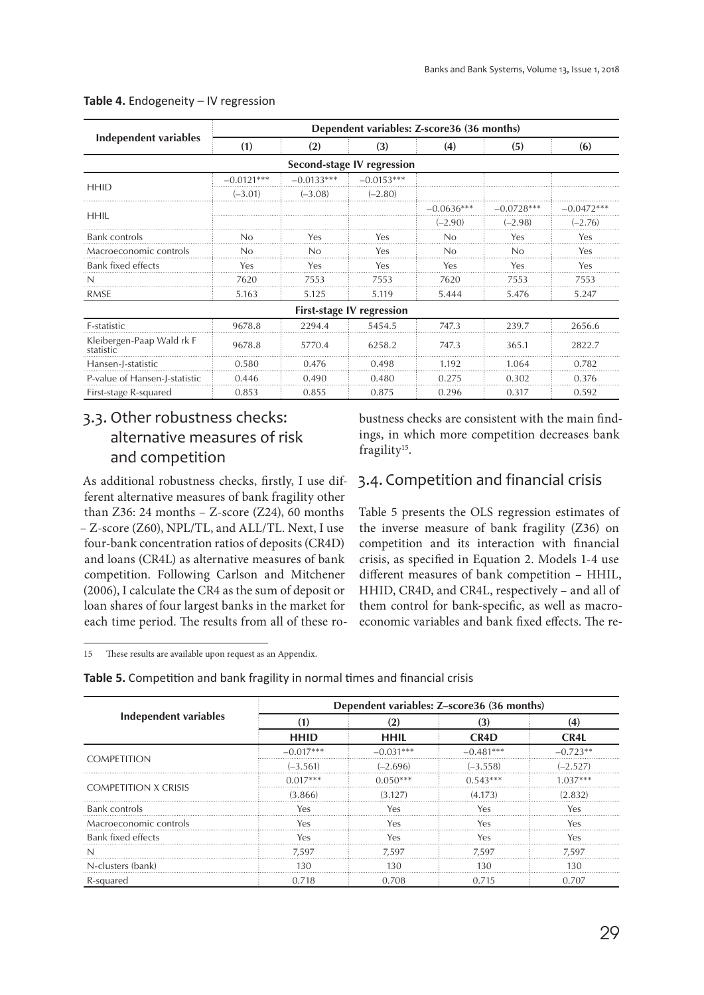|                                        | Dependent variables: Z-score36 (36 months) |              |                                   |              |              |              |  |  |  |
|----------------------------------------|--------------------------------------------|--------------|-----------------------------------|--------------|--------------|--------------|--|--|--|
| <b>Independent variables</b>           | (1)                                        | (2)          | (3)                               | (4)          | (5)          | (6)          |  |  |  |
|                                        |                                            |              | <b>Second-stage IV regression</b> |              |              |              |  |  |  |
|                                        | $-0.0121***$                               | $-0.0133***$ | $-0.0153***$                      |              |              |              |  |  |  |
| <b>HHID</b>                            | $(-3.01)$                                  | $(-3.08)$    | $(-2.80)$                         |              |              |              |  |  |  |
|                                        |                                            |              |                                   | $-0.0636***$ | $-0.0728***$ | $-0.0472***$ |  |  |  |
| <b>HHIL</b>                            |                                            |              |                                   | $(-2.90)$    | $(-2.98)$    | $(-2.76)$    |  |  |  |
| Bank controls                          | No                                         | Yes          | Yes                               | No           | Yes          | Yes          |  |  |  |
| Macroeconomic controls                 | No                                         | No           | Yes                               | No           | No           | Yes          |  |  |  |
| <b>Bank fixed effects</b>              | Yes                                        | Yes          | Yes                               | Yes          | Yes          | Yes          |  |  |  |
| N                                      | 7620                                       | 7553         | 7553                              | 7620         | 7553         | 7553         |  |  |  |
| <b>RMSE</b>                            | 5.163                                      | 5.125        | 5.119                             | 5.444        | 5.476        | 5.247        |  |  |  |
|                                        |                                            |              | <b>First-stage IV regression</b>  |              |              |              |  |  |  |
| <b>F-statistic</b>                     | 9678.8                                     | 2294.4       | 5454.5                            | 747.3        | 239.7        | 2656.6       |  |  |  |
| Kleibergen-Paap Wald rk F<br>statistic | 9678.8                                     | 5770.4       | 6258.2                            | 747.3        | 365.1        | 2822.7       |  |  |  |
| Hansen-J-statistic                     | 0.580                                      | 0.476        | 0.498                             | 1.192        | 1.064        | 0.782        |  |  |  |
| P-value of Hansen-J-statistic          | 0.446                                      | 0.490        | 0.480                             | 0.275        | 0.302        | 0.376        |  |  |  |
| First-stage R-squared                  | 0.853                                      | 0.855        | 0.875                             | 0.296        | 0.317        | 0.592        |  |  |  |

#### **Table 4.** Endogeneity - IV regression

## 3.3. Other robustness checks: alternative measures of risk and competition

As additional robustness checks, firstly, I use different alternative measures of bank fragility other than Z36: 24 months  $-$  Z-score (Z24), 60 months – Z-score (Z60), NPL/TL, and ALL/TL. Next, I use four-bank concentration ratios of deposits (CR4D) and loans (CR4L) as alternative measures of bank competition. Following Carlson and Mitchener (2006), I calculate the CR4 as the sum of deposit or loan shares of four largest banks in the market for each time period. The results from all of these ro-

15 These results are available upon request as an Appendix.

bustness checks are consistent with the main findings, in which more competition decreases bank fragility<sup>15</sup>.

## 3.4. Competition and financial crisis

Table 5 presents the OLS regression estimates of the inverse measure of bank fragility (Z36) on competition and its interaction with financial crisis, as specified in Equation 2. Models 1-4 use different measures of bank competition – HHIL, HHID, CR4D, and CR4L, respectively – and all of them control for bank-specific, as well as macroeconomic variables and bank fixed effects. The re-

Table 5. Competition and bank fragility in normal times and financial crisis

| <b>Independent variables</b> | Dependent variables: Z-score36 (36 months) |             |                                       |            |  |  |  |  |  |
|------------------------------|--------------------------------------------|-------------|---------------------------------------|------------|--|--|--|--|--|
|                              |                                            |             |                                       |            |  |  |  |  |  |
|                              | <b>HHID</b>                                | HHII.       | CR4D                                  | CR4L       |  |  |  |  |  |
|                              | $-0.017***$                                | $-0.031***$ | $-0.481***$                           | $-0.723**$ |  |  |  |  |  |
| <b>COMPETITION</b>           | $(-3.561)$                                 | $(-2.696)$  | $(-3.558)$                            | $(-2.527)$ |  |  |  |  |  |
|                              | $0.017***$                                 | $0.050***$  | $0.543***$                            |            |  |  |  |  |  |
| <b>COMPETITION X CRISIS</b>  | (3.866)                                    |             | (4.173)<br>۷ρς<br>Yes<br>۷ρς<br>7.597 | ่ว 832     |  |  |  |  |  |
| Bank controls                | Υρς                                        | Υρς         |                                       |            |  |  |  |  |  |
| Macroeconomic controls       | Yes                                        | Yes         |                                       | Yρς        |  |  |  |  |  |
| <b>Bank fixed effects</b>    | Υρς                                        | Yes         |                                       | $\sim$     |  |  |  |  |  |
|                              | 7.597                                      | 7.597       |                                       | 7.597      |  |  |  |  |  |
| N-clusters (bank)            | 130                                        |             |                                       |            |  |  |  |  |  |
| R-squared                    | 0.718                                      | 0.708       | O 715                                 | O 707      |  |  |  |  |  |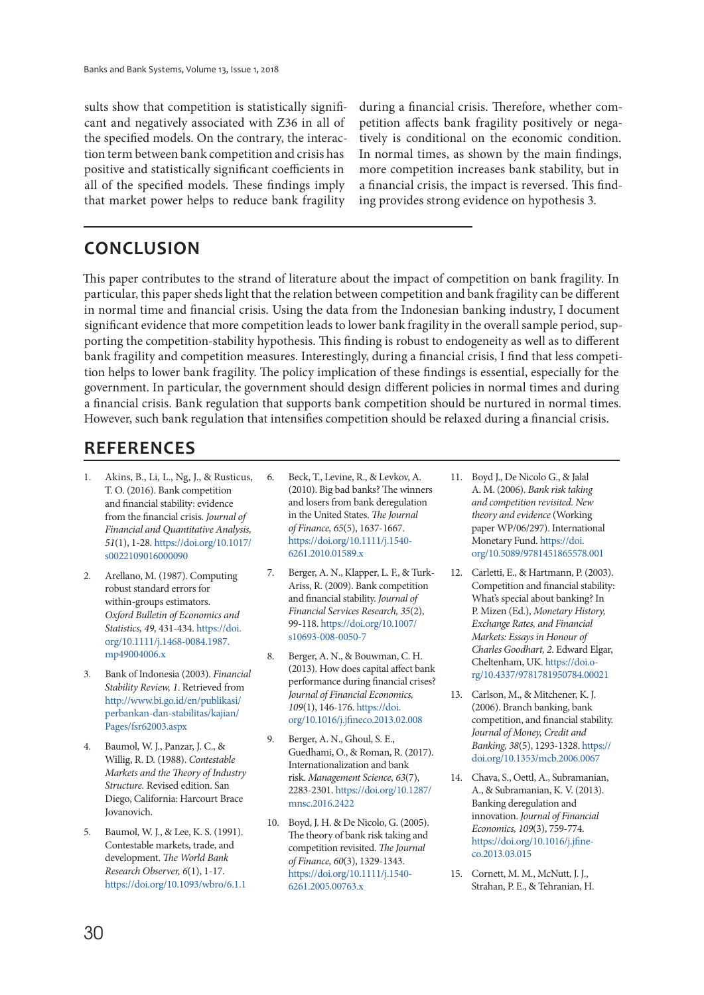sults show that competition is statistically significant and negatively associated with Z36 in all of the specified models. On the contrary, the interaction term between bank competition and crisis has positive and statistically significant coefficients in all of the specified models. These findings imply that market power helps to reduce bank fragility

during a financial crisis. Therefore, whether competition affects bank fragility positively or negatively is conditional on the economic condition. In normal times, as shown by the main findings, more competition increases bank stability, but in a financial crisis, the impact is reversed. This finding provides strong evidence on hypothesis 3.

## **CONCLUSION**

This paper contributes to the strand of literature about the impact of competition on bank fragility. In particular, this paper sheds light that the relation between competition and bank fragility can be different in normal time and financial crisis. Using the data from the Indonesian banking industry, I document significant evidence that more competition leads to lower bank fragility in the overall sample period, supporting the competition-stability hypothesis. This finding is robust to endogeneity as well as to different bank fragility and competition measures. Interestingly, during a financial crisis, I find that less competition helps to lower bank fragility. The policy implication of these findings is essential, especially for the government. In particular, the government should design different policies in normal times and during a financial crisis. Bank regulation that supports bank competition should be nurtured in normal times. However, such bank regulation that intensifies competition should be relaxed during a financial crisis.

## **REFERENCES**

- 1. Akins, B., Li, L., Ng, J., & Rusticus, T. O. (2016). Bank competition and financial stability: evidence from the financial crisis. Journal of Financial and Quantitative Analysis, 51(1), 1-28. https://doi.org/10.1017/ s0022109016000090
- 2. Arellano, M. (1987). Computing robust standard errors for within-groups estimators. Oxford Bulletin of Economics and Statistics, 49, 431-434. https://doi. org/10.1111/j.1468-0084.1987. mp49004006.x
- 3. Bank of Indonesia (2003). Financial Stability Review, 1. Retrieved from http://www.bi.go.id/en/publikasi/ perbankan-dan-stabilitas/kajian/ Pages/fsr62003.aspx
- 4. Baumol, W. J., Panzar, J. C., & Willig, R. D. (1988). Contestable Markets and the Theory of Industry Structure. Revised edition. San Diego, California: Harcourt Brace Jovanovich.
- 5. Baumol, W. J., & Lee, K. S. (1991). Contestable markets, trade, and development. The World Bank Research Observer, 6(1), 1-17. https://doi.org/10.1093/wbro/6.1.1
- 6. Beck, T., Levine, R., & Levkov, A. (2010). Big bad banks? The winners and losers from bank deregulation in the United States. The Journal of Finance, 65(5), 1637-1667. https://doi.org/10.1111/j.1540- 6261.2010.01589.x
- 7. Berger, A. N., Klapper, L. F., & Turk-Ariss, R. (2009). Bank competition and financial stability. Journal of Financial Services Research, 35(2), 99-118. https://doi.org/10.1007/ s10693-008-0050-7
- 8. Berger, A. N., & Bouwman, C. H. (2013). How does capital affect bank performance during financial crises? Journal of Financial Economics, 109(1), 146-176. https://doi. org/10.1016/j.jfineco.2013.02.008
- 9. Berger, A. N., Ghoul, S. E., Guedhami, O., & Roman, R. (2017). Internationalization and bank risk. Management Science, 63(7), 2283-2301. https://doi.org/10.1287/ mnsc.2016.2422
- 10. Boyd, J. H. & De Nicolo, G. (2005). The theory of bank risk taking and competition revisited. The Journal of Finance, 60(3), 1329-1343. https://doi.org/10.1111/j.1540- 6261.2005.00763.x
- 11. Boyd J., De Nicolo G., & Jalal A. M. (2006). Bank risk taking and competition revisited. New theory and evidence (Working paper WP/06/297). International Monetary Fund. https://doi. org/10.5089/9781451865578.001
- 12. Carletti, E., & Hartmann, P. (2003). Competition and financial stability: What's special about banking? In P. Mizen (Ed.), Monetary History, Exchange Rates, and Financial Markets: Essays in Honour of Charles Goodhart, 2. Edward Elgar, Cheltenham, UK. https://doi. org/10.4337/9781781950784.00021
- 13. Carlson, M., & Mitchener, K. J. (2006). Branch banking, bank competition, and financial stability. Journal of Money, Credit and Banking, 38(5), 1293-1328. https:// doi.org/10.1353/mcb.2006.0067
- 14. Chava, S., Oettl, A., Subramanian, A., & Subramanian, K. V. (2013). Banking deregulation and innovation. Journal of Financial Economics, 109(3), 759-774. https://doi.org/10.1016/j.jfineco.2013.03.015
- 15. Cornett, M. M., McNutt, J. J., Strahan, P. E., & Tehranian, H.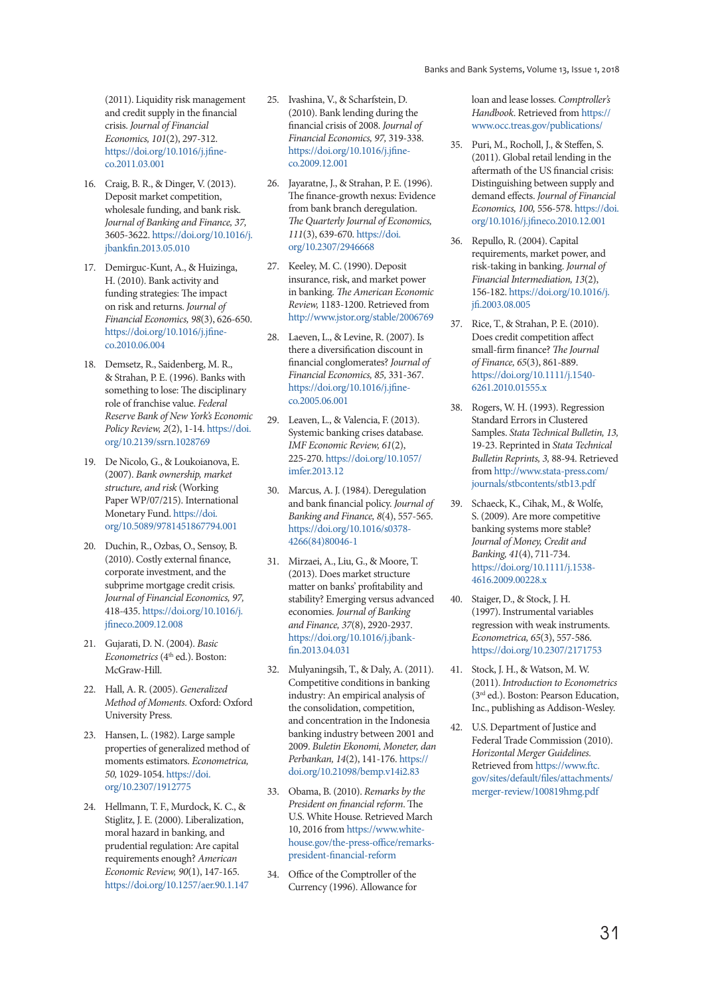- 16. Craig, B. R., & Dinger, V. (2013). Deposit market competition, wholesale funding, and bank risk. Journal of Banking and Finance, 37, 3605-3622. https://doi.org/10.1016/j. jbankfin.2013.05.010
- 17. Demirguc-Kunt, A., & Huizinga, H. (2010). Bank activity and funding strategies: The impact on risk and returns. Journal of Financial Economics, 98(3), 626-650. https://doi.org/10.1016/j.jfineco.2010.06.004
- 18. Demsetz, R., Saidenberg, M. R., & Strahan, P. E. (1996). Banks with something to lose: The disciplinary role of franchise value. Federal Reserve Bank of New York's Economic Policy Review, 2(2), 1-14. https://doi. org/10.2139/ssrn.1028769
- 19. De Nicolo, G., & Loukoianova, E. (2007). Bank ownership, market structure, and risk (Working Paper WP/07/215). International Monetary Fund. https://doi. org/10.5089/9781451867794.001
- 20. Duchin, R., Ozbas, O., Sensoy, B. (2010). Costly external finance, corporate investment, and the subprime mortgage credit crisis. Journal of Financial Economics, 97, 418-435. https://doi.org/10.1016/j. jfineco.2009.12.008
- 21. Gujarati, D. N. (2004). Basic Econometrics (4<sup>th</sup> ed.). Boston: McGraw-Hill.
- 22. Hall, A. R. (2005). Generalized Method of Moments. Oxford: Oxford University Press.
- 23. Hansen, L. (1982). Large sample properties of generalized method of moments estimators. Econometrica, 50, 1029-1054. https://doi. org/10.2307/1912775
- 24. Hellmann, T. F., Murdock, K. C., & Stiglitz, J. E. (2000). Liberalization, moral hazard in banking, and prudential regulation: Are capital requirements enough? American Economic Review, 90(1), 147-165. https://doi.org/10.1257/aer.90.1.147
- 25. Ivashina, V., & Scharfstein, D. (2010). Bank lending during the financial crisis of 2008. Journal of Financial Economics, 97, 319-338. https://doi.org/10.1016/j.jfineco.2009.12.001
- 26. Jayaratne, J., & Strahan, P. E. (1996). The finance-growth nexus: Evidence from bank branch deregulation. The Quarterly Journal of Economics, 111(3), 639-670. https://doi. org/10.2307/2946668
- 27. Keeley, M. C. (1990). Deposit insurance, risk, and market power in banking. The American Economic Review, 1183-1200. Retrieved from http://www.jstor.org/stable/2006769
- 28. Laeven, L., & Levine, R. (2007). Is there a diversification discount in financial conglomerates? Journal of Financial Economics, 85, 331-367. https://doi.org/10.1016/j.jfineco.2005.06.001
- 29. Leaven, L., & Valencia, F. (2013). Systemic banking crises database. IMF Economic Review, 61(2), 225-270. https://doi.org/10.1057/ imfer.2013.12
- 30. Marcus, A. J. (1984). Deregulation and bank financial policy. Journal of Banking and Finance, 8(4), 557-565. https://doi.org/10.1016/s0378- 4266(84)80046-1
- 31. Mirzaei, A., Liu, G., & Moore, T. (2013). Does market structure matter on banks' profitability and stability? Emerging versus advanced economies. Journal of Banking and Finance, 37(8), 2920-2937. https://doi.org/10.1016/j.jbankfin.2013.04.031
- 32. Mulyaningsih, T., & Daly, A. (2011). Competitive conditions in banking industry: An empirical analysis of the consolidation, competition, and concentration in the Indonesia banking industry between 2001 and 2009. Buletin Ekonomi, Moneter, dan Perbankan, 14(2), 141-176. https:// doi.org/10.21098/bemp.v14i2.83
- 33. Obama, B. (2010). Remarks by the President on financial reform. The U.S. White House. Retrieved March 10, 2016 from https://www.whitehouse.gov/the-press-office/remarkspresident-financial-reform
- 34. Office of the Comptroller of the Currency (1996). Allowance for

loan and lease losses. Comptroller's Handbook. Retrieved from https:// www.occ.treas.gov/publications/

- 35. Puri, M., Rocholl, J., & Steffen, S. (2011). Global retail lending in the aftermath of the US financial crisis: Distinguishing between supply and demand effects. Journal of Financial Economics, 100, 556-578. https://doi. org/10.1016/j.jfineco.2010.12.001
- 36. Repullo, R. (2004). Capital requirements, market power, and risk-taking in banking. Journal of Financial Intermediation, 13(2), 156-182. https://doi.org/10.1016/j. jfi.2003.08.005
- 37. Rice, T., & Strahan, P. E. (2010). Does credit competition affect small-firm finance? The Journal of Finance, 65(3), 861-889. https://doi.org/10.1111/j.1540- 6261.2010.01555.x
- 38. Rogers, W. H. (1993). Regression Standard Errors in Clustered Samples. Stata Technical Bulletin, 13, 19-23. Reprinted in Stata Technical Bulletin Reprints, 3, 88-94. Retrieved from http://www.stata-press.com/ journals/stbcontents/stb13.pdf
- 39. Schaeck, K., Cihak, M., & Wolfe, S. (2009). Are more competitive banking systems more stable? Journal of Money, Credit and Banking, 41(4), 711-734. https://doi.org/10.1111/j.1538- 4616.2009.00228.x
- 40. Staiger, D., & Stock, J. H. (1997). Instrumental variables regression with weak instruments. Econometrica, 65(3), 557-586. https://doi.org/10.2307/2171753
- 41. Stock, J. H., & Watson, M. W. (2011). Introduction to Econometrics (3rd ed.). Boston: Pearson Education, Inc., publishing as Addison-Wesley.
- 42. U.S. Department of Justice and Federal Trade Commission (2010). Horizontal Merger Guidelines. Retrieved from https://www.ftc. gov/sites/default/files/attachments/ merger-review/100819hmg.pdf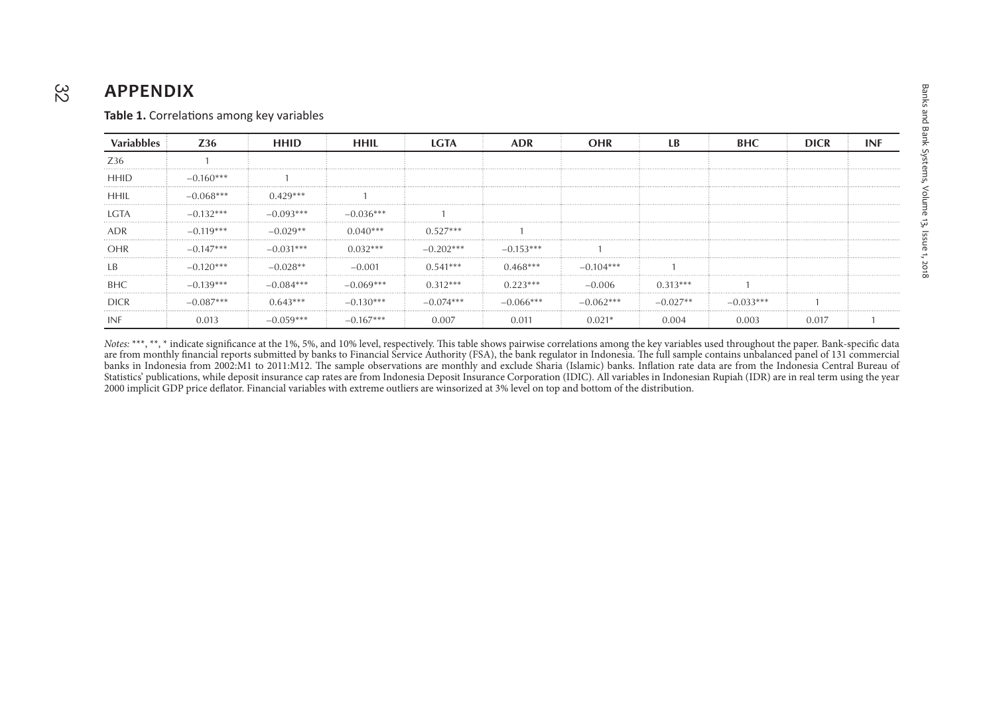## $\frac{2}{3}$

| <b>APPENDIX</b>                           |             |             |             |             |             |             |            |             |             |     |  |
|-------------------------------------------|-------------|-------------|-------------|-------------|-------------|-------------|------------|-------------|-------------|-----|--|
| Table 1. Correlations among key variables |             |             |             |             |             |             |            |             |             |     |  |
| <b>Variabbles</b>                         | <b>Z36</b>  | <b>HHID</b> | <b>HHIL</b> | <b>LGTA</b> | <b>ADR</b>  | <b>OHR</b>  | LB.        | <b>BHC</b>  | <b>DICR</b> | INF |  |
| Z36                                       |             |             |             |             |             |             |            |             |             |     |  |
| <b>HHID</b>                               | $-0.160***$ |             |             |             |             |             |            |             |             |     |  |
| <b>HHIL</b>                               | $-0.068***$ | $0.429***$  |             |             |             |             |            |             |             |     |  |
| LGTA                                      | $-0.132***$ | $-0.093***$ | $-0.036***$ |             |             |             |            |             |             |     |  |
| <b>ADR</b>                                | $-0.119***$ | $-0.029**$  | $0.040***$  | $0.527***$  |             |             |            |             |             |     |  |
| OHR                                       | $-0.147***$ | $-0.031***$ | $0.032***$  | $-0.202***$ | $-0.153***$ |             |            |             |             |     |  |
| LB                                        | $-0.120***$ | $-0.028**$  | $-0.001$    | $0.541***$  | $0.468***$  | $-0.104***$ |            |             |             |     |  |
| <b>BHC</b>                                | $-0.139***$ | $-0.084***$ | $-0.069***$ | $0.312***$  | $0.223***$  | $-0.006$    | $0.313***$ |             |             |     |  |
| <b>DICR</b>                               | $-0.087***$ | $0.643***$  | $-0.130***$ | $-0.074***$ | $-0.066***$ | $-0.062***$ | $-0.027**$ | $-0.033***$ |             |     |  |
| INF                                       | 0.013       | $-0.059***$ | $-0.167***$ | 0.007       | 0.011       | $0.021*$    | 0.004      | 0.003       | 0.017       |     |  |

Notes: \*\*\*, \*\*, \* indicate significance at the 1%, 5%, and 10% level, respectively. This table shows pairwise correlations among the key variables used throughout the paper. Bank-specific data are from monthly financial reports submitted by banks to Financial Service Authority (FSA), the bank regulator in Indonesia. The full sample contains unbalanced panel of 131 commercial banks in Indonesia from 2002:M1 to 2011:M12. The sample observations are monthly and exclude Sharia (Islamic) banks. Inflation rate data are from the Indonesia Central Bureau of Statistics' publications, while deposit insurance cap rates are from Indonesia Deposit Insurance Corporation (IDIC). All variables in Indonesian Rupiah (IDR) are in real term using the year.<br>Statistics' publications, while 2000 implicit GDP price deflator. Financial variables with extreme outliers are winsorized at 3% level on top and bottom of the distribution.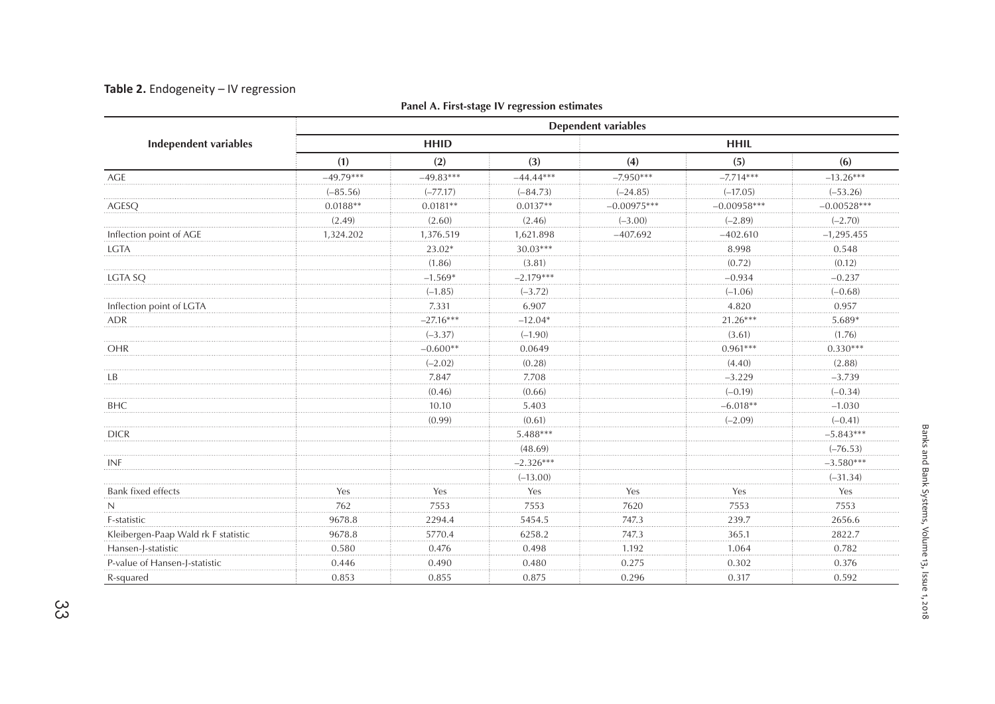### Table 2. Endogeneity - IV regression

|                                     | <b>Dependent variables</b> |             |             |               |               |               |  |  |  |  |
|-------------------------------------|----------------------------|-------------|-------------|---------------|---------------|---------------|--|--|--|--|
| <b>Independent variables</b>        |                            | <b>HHID</b> |             |               | <b>HHIL</b>   |               |  |  |  |  |
|                                     | (1)                        | (2)         | (3)         | (4)           | (5)           | (6)           |  |  |  |  |
| AGE                                 | $-49.79***$                | $-49.83***$ | $-44.44***$ | $-7.950***$   | $-7.714***$   | $-13.26***$   |  |  |  |  |
|                                     | $(-85.56)$                 | $(-77.17)$  | $(-84.73)$  | $(-24.85)$    | $(-17.05)$    | $(-53.26)$    |  |  |  |  |
| AGESQ                               | $0.0188**$                 | $0.0181**$  | $0.0137**$  | $-0.00975***$ | $-0.00958***$ | $-0.00528***$ |  |  |  |  |
|                                     | (2.49)                     | (2.60)      | (2.46)      | $(-3.00)$     | $(-2.89)$     | $(-2.70)$     |  |  |  |  |
| Inflection point of AGE             | 1,324.202                  | 1,376.519   | 1,621.898   | $-407.692$    | $-402.610$    | $-1,295.455$  |  |  |  |  |
| LGTA                                |                            | $23.02*$    | $30.03***$  |               | 8.998         | 0.548         |  |  |  |  |
|                                     |                            | (1.86)      | (3.81)      |               | (0.72)        | (0.12)        |  |  |  |  |
| <b>LGTA SQ</b>                      |                            | $-1.569*$   | $-2.179***$ |               | $-0.934$      | $-0.237$      |  |  |  |  |
|                                     |                            | $(-1.85)$   | $(-3.72)$   |               | $(-1.06)$     | $(-0.68)$     |  |  |  |  |
| Inflection point of LGTA            |                            | 7.331       | 6.907       |               | 4.820         | 0.957         |  |  |  |  |
| <b>ADR</b>                          |                            | $-27.16***$ | $-12.04*$   |               | $21.26***$    | 5.689*        |  |  |  |  |
|                                     |                            | $(-3.37)$   | $(-1.90)$   |               | (3.61)        | (1.76)        |  |  |  |  |
| OHR                                 |                            | $-0.600**$  | 0.0649      |               | $0.961***$    | $0.330***$    |  |  |  |  |
|                                     |                            | $(-2.02)$   | (0.28)      |               | (4.40)        | (2.88)        |  |  |  |  |
| LB                                  |                            | 7.847       | 7.708       |               | $-3.229$      | $-3.739$      |  |  |  |  |
|                                     |                            | (0.46)      | (0.66)      |               | $(-0.19)$     | $(-0.34)$     |  |  |  |  |
| BHC                                 |                            | 10.10       | 5.403       |               | $-6.018**$    | $-1.030$      |  |  |  |  |
|                                     |                            | (0.99)      | (0.61)      |               | $(-2.09)$     | $(-0.41)$     |  |  |  |  |
| <b>DICR</b>                         |                            |             | 5.488***    |               |               | $-5.843***$   |  |  |  |  |
|                                     |                            |             | (48.69)     |               |               | $(-76.53)$    |  |  |  |  |
| INF                                 |                            |             | $-2.326***$ |               |               | $-3.580***$   |  |  |  |  |
|                                     |                            |             | $(-13.00)$  |               |               | $(-31.34)$    |  |  |  |  |
| <b>Bank fixed effects</b>           | Yes                        | Yes         | Yes         | Yes           | Yes           | Yes           |  |  |  |  |
| N                                   | 762                        | 7553        | 7553        | 7620          | 7553          | 7553          |  |  |  |  |
| F-statistic                         | 9678.8                     | 2294.4      | 5454.5      | 747.3         | 239.7         | 2656.6        |  |  |  |  |
| Kleibergen-Paap Wald rk F statistic | 9678.8                     | 5770.4      | 6258.2      | 747.3         | 365.1         | 2822.7        |  |  |  |  |
| Hansen-J-statistic                  | 0.580                      | 0.476       | 0.498       | 1.192         | 1.064         | 0.782         |  |  |  |  |
| P-value of Hansen-J-statistic       | 0.446                      | 0.490       | 0.480       | 0.275         | 0.302         | 0.376         |  |  |  |  |
| R-squared                           | 0.853                      | 0.855       | 0.875       | 0.296         | 0.317         | 0.592         |  |  |  |  |

### **Panel A. First-stage IV regression estimates**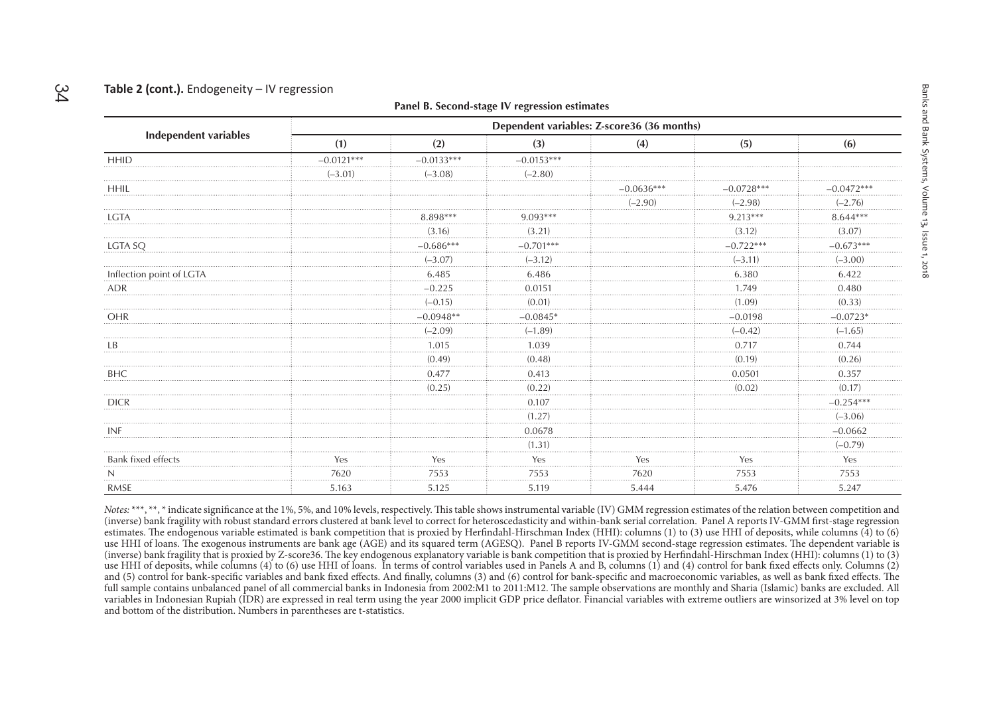| <b>Independent variables</b> |              |              |              | Dependent variables: Z-score36 (36 months) |              |              |
|------------------------------|--------------|--------------|--------------|--------------------------------------------|--------------|--------------|
|                              | (1)          | (2)          | (3)          | (4)                                        | (5)          | (6)          |
| <b>HHID</b>                  | $-0.0121***$ | $-0.0133***$ | $-0.0153***$ |                                            |              |              |
|                              | $(-3.01)$    | $(-3.08)$    | $(-2.80)$    |                                            |              |              |
| <b>HHIL</b>                  |              |              |              | $-0.0636***$                               | $-0.0728***$ | $-0.0472***$ |
|                              |              |              |              | $(-2.90)$                                  | $(-2.98)$    | $(-2.76)$    |
| LGTA                         |              | 8.898***     | $9.093***$   |                                            | $9.213***$   | $8.644***$   |
|                              |              | (3.16)       | (3.21)       |                                            | (3.12)       | (3.07)       |
| LGTA SQ                      |              | $-0.686***$  | $-0.701***$  |                                            | $-0.722***$  | $-0.673***$  |
|                              |              | $(-3.07)$    | $(-3.12)$    |                                            | $(-3.11)$    | $(-3.00)$    |
| Inflection point of LGTA     |              | 6.485        | 6.486        |                                            | 6.380        | 6.422        |
| <b>ADR</b>                   |              | $-0.225$     | 0.0151       |                                            | 1.749        | 0.480        |
|                              |              | $(-0.15)$    | (0.01)       |                                            | (1.09)       | (0.33)       |
| OHR                          |              | $-0.0948**$  | $-0.0845*$   |                                            | $-0.0198$    | $-0.0723*$   |
|                              |              | $(-2.09)$    | $(-1.89)$    |                                            | $(-0.42)$    | $(-1.65)$    |
| LB                           |              | 1.015        | 1.039        |                                            | 0.717        | 0.744        |
|                              |              | (0.49)       | (0.48)       |                                            | (0.19)       | (0.26)       |
| <b>BHC</b>                   |              | 0.477        | 0.413        |                                            | 0.0501       | 0.357        |
|                              |              | (0.25)       | (0.22)       |                                            | (0.02)       | (0.17)       |
| <b>DICR</b>                  |              |              | 0.107        |                                            |              | $-0.254***$  |
|                              |              |              | (1.27)       |                                            |              | $(-3.06)$    |
| INF                          |              |              | 0.0678       |                                            |              | $-0.0662$    |
|                              |              |              | (1.31)       |                                            |              | $(-0.79)$    |
| <b>Bank fixed effects</b>    | Yes          | Yes          | Yes          | Yes                                        | Yes          | Yes          |
| $\mathbb N$                  | 7620         | 7553         | 7553         | 7620                                       | 7553         | 7553         |
| RMSE                         | 5.163        | 5.125        | 5.119        | 5.444                                      | 5.476        | 5.247        |

Notes: \*\*\*, \*\*, \* indicate significance at the 1%, 5%, and 10% levels, respectively. This table shows instrumental variable (IV) GMM regression estimates of the relation between competition and (inverse) bank fragility with robust standard errors clustered at bank level to correct for heteroscedasticity and within-bank serial correlation. Panel A reports IV-GMM first-stage regression estimates. The endogenous variable estimated is bank competition that is proxied by Herfindahl-Hirschman Index (HHI): columns (1) to (3) use HHI of deposits, while columns (4) to (6) use HHI of loans. The exogenous instruments are bank age (AGE) and its squared term (AGESQ). Panel B reports IV-GMM second-stage regression estimates. The dependent variable is (inverse) bank fragility that is proxied by Z-score36. The key endogenous explanatory variable is bank competition that is proxied by Herfindahl-Hirschman Index (HHI): columns (1) to (3) use HHI of deposits, while columns (4) to (6) use HHI of loans. In terms of control variables used in Panels A and B, columns (1) and (4) control for bank fixed effects only. Columns (2) and (5) control for bank-specific variables and bank fixed effects. And finally, columns (3) and (6) control for bank-specific and macroeconomic variables, as well as bank fixed effects. The full sample contains unbalanced panel of all commercial banks in Indonesia from 2002:M1 to 2011:M12. The sample observations are monthly and Sharia (Islamic) banks are excluded. All variables in Indonesian Rupiah (IDR) are expressed in real term using the year 2000 implicit GDP price deflator. Financial variables with extreme outliers are winsorized at 3% level on top and bottom of the distribution. Numbers in parentheses are t-statistics.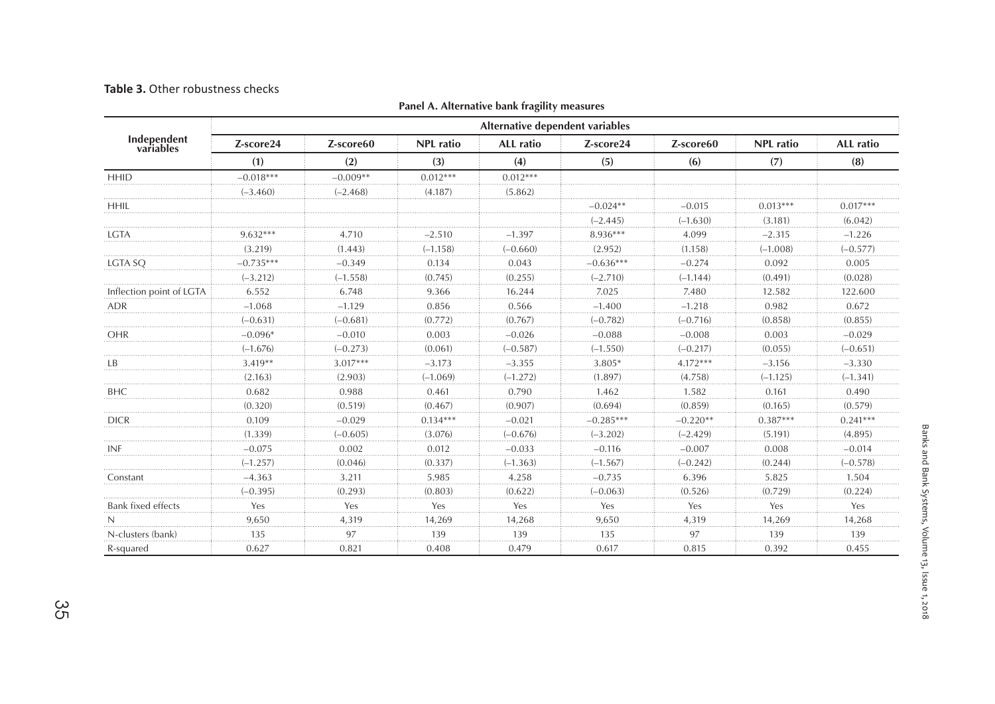### Table 3. Other robustness checks

|                           | Alternative dependent variables |            |                  |                  |             |            |                  |                  |  |  |  |  |
|---------------------------|---------------------------------|------------|------------------|------------------|-------------|------------|------------------|------------------|--|--|--|--|
| Independent<br>variables  | Z-score24                       | Z-score60  | <b>NPL ratio</b> | <b>ALL</b> ratio | Z-score24   | Z-score60  | <b>NPL ratio</b> | <b>ALL</b> ratio |  |  |  |  |
|                           | (1)                             | (2)        | (3)              | (4)              | (5)         | (6)        | (7)              | (8)              |  |  |  |  |
| <b>HHID</b>               | $-0.018***$                     | $-0.009**$ | $0.012***$       | $0.012***$       |             |            |                  |                  |  |  |  |  |
|                           | $(-3.460)$                      | $(-2.468)$ | (4.187)          | (5.862)          |             |            |                  |                  |  |  |  |  |
| <b>HHIL</b>               |                                 |            |                  |                  | $-0.024**$  | $-0.015$   | $0.013***$       | $0.017***$       |  |  |  |  |
|                           |                                 |            |                  |                  | $(-2.445)$  | $(-1.630)$ | (3.181)          | (6.042)          |  |  |  |  |
| LGTA                      | $9.632***$                      | 4.710      | $-2.510$         | $-1.397$         | 8.936***    | 4.099      | $-2.315$         | $-1.226$         |  |  |  |  |
|                           | (3.219)                         | (1.443)    | $(-1.158)$       | $(-0.660)$       | (2.952)     | (1.158)    | $(-1.008)$       | $(-0.577)$       |  |  |  |  |
| <b>LGTA SQ</b>            | $-0.735***$                     | $-0.349$   | 0.134            | 0.043            | $-0.636***$ | $-0.274$   | 0.092            | 0.005            |  |  |  |  |
|                           | $(-3.212)$                      | $(-1.558)$ | (0.745)          | (0.255)          | $(-2.710)$  | $(-1.144)$ | (0.491)          | (0.028)          |  |  |  |  |
| Inflection point of LGTA  | 6.552                           | 6.748      | 9.366            | 16.244           | 7.025       | 7.480      | 12.582           | 122.600          |  |  |  |  |
| <b>ADR</b>                | $-1.068$                        | $-1.129$   | 0.856            | 0.566            | $-1.400$    | $-1.218$   | 0.982            | 0.672            |  |  |  |  |
|                           | $(-0.631)$                      | $(-0.681)$ | (0.772)          | (0.767)          | $(-0.782)$  | $(-0.716)$ | (0.858)          | (0.855)          |  |  |  |  |
| OHR                       | $-0.096*$                       | $-0.010$   | 0.003            | $-0.026$         | $-0.088$    | $-0.008$   | 0.003            | $-0.029$         |  |  |  |  |
|                           | $(-1.676)$                      | $(-0.273)$ | (0.061)          | $(-0.587)$       | $(-1.550)$  | $(-0.217)$ | (0.055)          | $(-0.651)$       |  |  |  |  |
| LB                        | $3.419**$                       | $3.017***$ | $-3.173$         | $-3.355$         | 3.805*      | $4.172***$ | $-3.156$         | $-3.330$         |  |  |  |  |
|                           | (2.163)                         | (2.903)    | $(-1.069)$       | $(-1.272)$       | (1.897)     | (4.758)    | $(-1.125)$       | $(-1.341)$       |  |  |  |  |
| <b>BHC</b>                | 0.682                           | 0.988      | 0.461            | 0.790            | 1.462       | 1.582      | 0.161            | 0.490            |  |  |  |  |
|                           | (0.320)                         | (0.519)    | (0.467)          | (0.907)          | (0.694)     | (0.859)    | (0.165)          | (0.579)          |  |  |  |  |
| <b>DICR</b>               | 0.109                           | $-0.029$   | $0.134***$       | $-0.021$         | $-0.285***$ | $-0.220**$ | $0.387***$       | $0.241***$       |  |  |  |  |
|                           | (1.339)                         | $(-0.605)$ | (3.076)          | $(-0.676)$       | $(-3.202)$  | $(-2.429)$ | (5.191)          | (4.895)          |  |  |  |  |
| <b>INF</b>                | $-0.075$                        | 0.002      | 0.012            | $-0.033$         | $-0.116$    | $-0.007$   | 0.008            | $-0.014$         |  |  |  |  |
|                           | $(-1.257)$                      | (0.046)    | (0.337)          | $(-1.363)$       | $(-1.567)$  | $(-0.242)$ | (0.244)          | $(-0.578)$       |  |  |  |  |
| Constant                  | $-4.363$                        | 3.211      | 5.985            | 4.258            | $-0.735$    | 6.396      | 5.825            | 1.504            |  |  |  |  |
|                           | $(-0.395)$                      | (0.293)    | (0.803)          | (0.622)          | $(-0.063)$  | (0.526)    | (0.729)          | (0.224)          |  |  |  |  |
| <b>Bank fixed effects</b> | Yes                             | Yes        | Yes              | Yes              | Yes         | Yes        | Yes              | Yes              |  |  |  |  |
| N                         | 9,650                           | 4,319      | 14,269           | 14,268           | 9,650       | 4,319      | 14,269           | 14,268           |  |  |  |  |
| N-clusters (bank)         | 135                             | 97         | 139              | 139              | 135         | 97         | 139              | 139              |  |  |  |  |
| R-squared                 | 0.627                           | 0.821      | 0.408            | 0.479            | 0.617       | 0.815      | 0.392            | 0.455            |  |  |  |  |

### **Panel A. Alternative bank fragility measures**